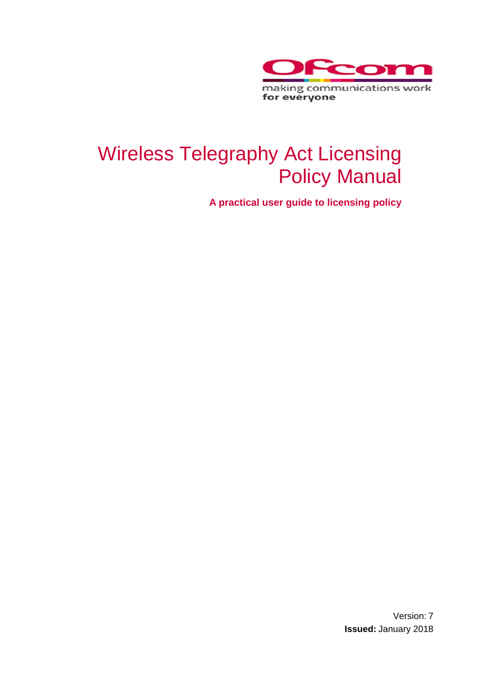

# Wireless Telegraphy Act Licensing Policy Manual

**A practical user guide to licensing policy**

Version: 7 **Issued:** January 2018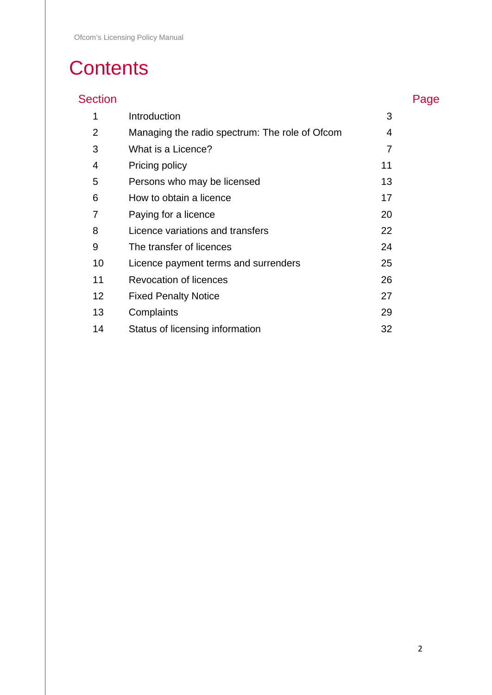# **Contents**

# Section **Page**

| $\mathbf 1$ | Introduction                                   | 3  |
|-------------|------------------------------------------------|----|
| 2           | Managing the radio spectrum: The role of Ofcom | 4  |
| 3           | What is a Licence?                             | 7  |
| 4           | Pricing policy                                 | 11 |
| 5           | Persons who may be licensed                    | 13 |
| 6           | How to obtain a licence                        | 17 |
| 7           | Paying for a licence                           | 20 |
| 8           | Licence variations and transfers               | 22 |
| 9           | The transfer of licences                       | 24 |
| 10          | Licence payment terms and surrenders           | 25 |
| 11          | Revocation of licences                         | 26 |
| 12          | <b>Fixed Penalty Notice</b>                    | 27 |
| 13          | Complaints                                     | 29 |
| 14          | Status of licensing information                | 32 |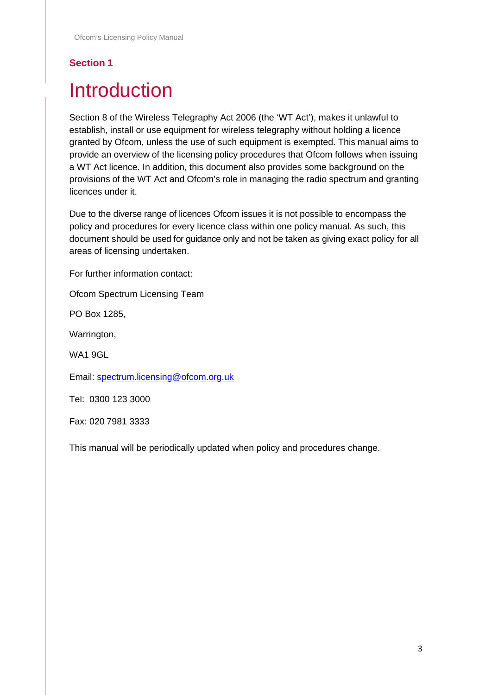# <span id="page-2-0"></span>**Introduction**

Section 8 of the Wireless Telegraphy Act 2006 (the 'WT Act'), makes it unlawful to establish, install or use equipment for wireless telegraphy without holding a licence granted by Ofcom, unless the use of such equipment is exempted. This manual aims to provide an overview of the licensing policy procedures that Ofcom follows when issuing a WT Act licence. In addition, this document also provides some background on the provisions of the WT Act and Ofcom's role in managing the radio spectrum and granting licences under it.

Due to the diverse range of licences Ofcom issues it is not possible to encompass the policy and procedures for every licence class within one policy manual. As such, this document should be used for guidance only and not be taken as giving exact policy for all areas of licensing undertaken.

For further information contact:

Ofcom Spectrum Licensing Team

PO Box 1285,

Warrington,

WA1 9GL

Email: [spectrum.licensing@ofcom.org.uk](mailto:spectrum.licensing@ofcom.org.uk)

Tel: 0300 123 3000

Fax: 020 7981 3333

This manual will be periodically updated when policy and procedures change.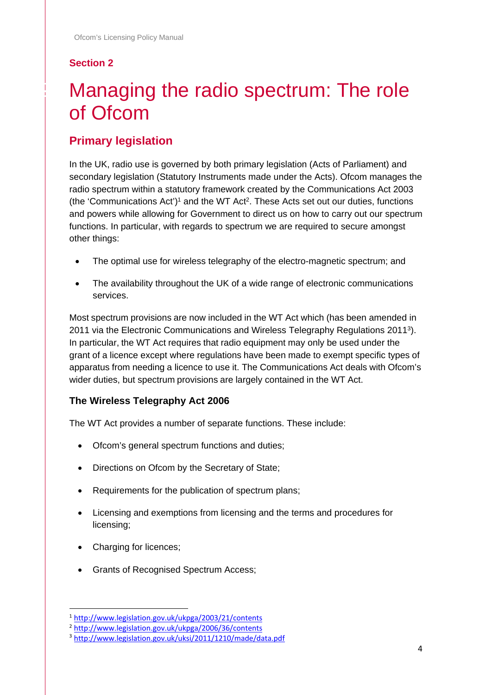# <span id="page-3-0"></span>Managing the radio spectrum: The role of Ofcom

# **Primary legislation**

In the UK, radio use is governed by both primary legislation (Acts of Parliament) and secondary legislation (Statutory Instruments made under the Acts). Ofcom manages the radio spectrum within a statutory framework created by the Communications Act 2003 (the 'Communications Act')<sup>1</sup> and the WT Act<sup>2</sup>. These Acts set out our duties, functions and powers while allowing for Government to direct us on how to carry out our spectrum functions. In particular, with regards to spectrum we are required to secure amongst other things:

- The optimal use for wireless telegraphy of the electro-magnetic spectrum; and
- The availability throughout the UK of a wide range of electronic communications services.

Most spectrum provisions are now included in the WT Act which (has been amended in 2011 via the Electronic Communications and Wireless Telegraphy Regulations 20113). In particular, the WT Act requires that radio equipment may only be used under the grant of a licence except where regulations have been made to exempt specific types of apparatus from needing a licence to use it. The Communications Act deals with Ofcom's wider duties, but spectrum provisions are largely contained in the WT Act.

#### **The Wireless Telegraphy Act 2006**

The WT Act provides a number of separate functions. These include:

- Ofcom's general spectrum functions and duties;
- Directions on Ofcom by the Secretary of State;
- Requirements for the publication of spectrum plans;
- Licensing and exemptions from licensing and the terms and procedures for licensing;
- Charging for licences:
- Grants of Recognised Spectrum Access;

 <sup>1</sup> <http://www.legislation.gov.uk/ukpga/2003/21/contents>

<sup>2</sup> <http://www.legislation.gov.uk/ukpga/2006/36/contents>

<sup>3</sup> <http://www.legislation.gov.uk/uksi/2011/1210/made/data.pdf>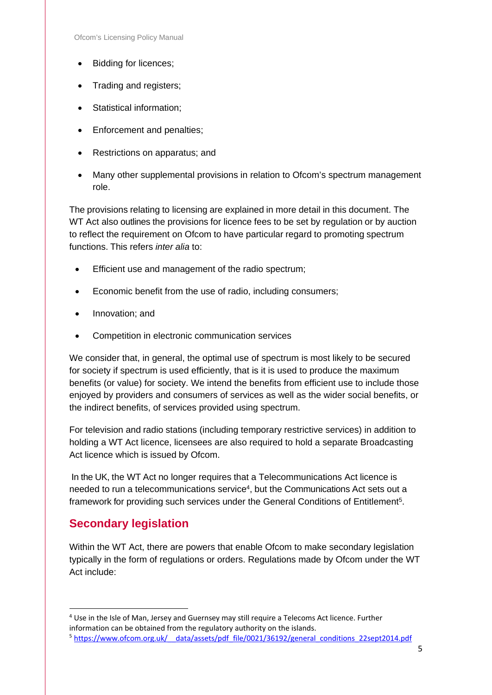- Bidding for licences;
- Trading and registers;
- Statistical information;
- Enforcement and penalties;
- Restrictions on apparatus; and
- Many other supplemental provisions in relation to Ofcom's spectrum management role.

The provisions relating to licensing are explained in more detail in this document. The WT Act also outlines the provisions for licence fees to be set by regulation or by auction to reflect the requirement on Ofcom to have particular regard to promoting spectrum functions. This refers *inter alia* to:

- Efficient use and management of the radio spectrum;
- Economic benefit from the use of radio, including consumers;
- Innovation; and
- Competition in electronic communication services

We consider that, in general, the optimal use of spectrum is most likely to be secured for society if spectrum is used efficiently, that is it is used to produce the maximum benefits (or value) for society. We intend the benefits from efficient use to include those enjoyed by providers and consumers of services as well as the wider social benefits, or the indirect benefits, of services provided using spectrum.

For television and radio stations (including temporary restrictive services) in addition to holding a WT Act licence, licensees are also required to hold a separate Broadcasting Act licence which is issued by Ofcom.

In the UK, the WT Act no longer requires that a Telecommunications Act licence is needed to run a telecommunications service<sup>4</sup>, but the Communications Act sets out a framework for providing such services under the General Conditions of Entitlement<sup>5</sup>.

#### **Secondary legislation**

Within the WT Act, there are powers that enable Ofcom to make secondary legislation typically in the form of regulations or orders. Regulations made by Ofcom under the WT Act include:

 <sup>4</sup> Use in the Isle of Man, Jersey and Guernsey may still require a Telecoms Act licence. Further information can be obtained from the regulatory authority on the islands.

<sup>&</sup>lt;sup>5</sup> https://www.ofcom.org.uk/ data/assets/pdf file/0021/36192/general\_conditions\_22sept2014.pdf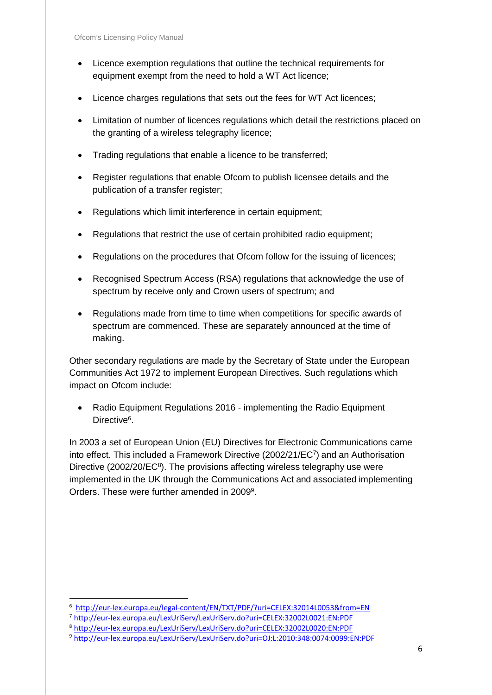- Licence exemption regulations that outline the technical requirements for equipment exempt from the need to hold a WT Act licence;
- Licence charges regulations that sets out the fees for WT Act licences;
- Limitation of number of licences regulations which detail the restrictions placed on the granting of a wireless telegraphy licence;
- Trading regulations that enable a licence to be transferred;
- Register regulations that enable Ofcom to publish licensee details and the publication of a transfer register;
- Regulations which limit interference in certain equipment;
- Regulations that restrict the use of certain prohibited radio equipment;
- Regulations on the procedures that Ofcom follow for the issuing of licences;
- Recognised Spectrum Access (RSA) regulations that acknowledge the use of spectrum by receive only and Crown users of spectrum; and
- Regulations made from time to time when competitions for specific awards of spectrum are commenced. These are separately announced at the time of making.

Other secondary regulations are made by the Secretary of State under the European Communities Act 1972 to implement European Directives. Such regulations which impact on Ofcom include:

• Radio Equipment Regulations 2016 - implementing the Radio Equipment Directive<sup>6</sup>.

In 2003 a set of European Union (EU) Directives for Electronic Communications came into effect. This included a Framework Directive (2002/21/EC7) and an Authorisation Directive (2002/20/EC $\text{S}$ ). The provisions affecting wireless telegraphy use were implemented in the UK through the Communications Act and associated implementing Orders. These were further amended in 20099.

<sup>-&</sup>lt;br>6 <http://eur-lex.europa.eu/legal-content/EN/TXT/PDF/?uri=CELEX:32014L0053&from=EN>

<sup>7</sup> <http://eur-lex.europa.eu/LexUriServ/LexUriServ.do?uri=CELEX:32002L0021:EN:PDF>

<sup>8</sup> <http://eur-lex.europa.eu/LexUriServ/LexUriServ.do?uri=CELEX:32002L0020:EN:PDF>

<sup>9</sup> <http://eur-lex.europa.eu/LexUriServ/LexUriServ.do?uri=OJ:L:2010:348:0074:0099:EN:PDF>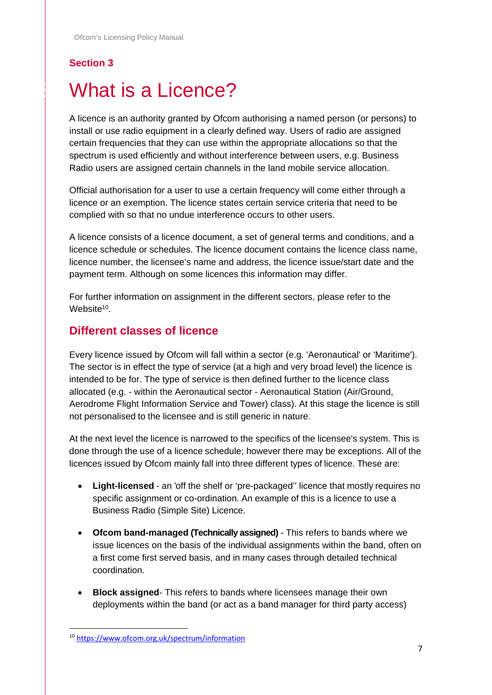# <span id="page-6-0"></span>What is a Licence?

A licence is an authority granted by Ofcom authorising a named person (or persons) to install or use radio equipment in a clearly defined way. Users of radio are assigned certain frequencies that they can use within the appropriate allocations so that the spectrum is used efficiently and without interference between users, e.g. Business Radio users are assigned certain channels in the land mobile service allocation.

Official authorisation for a user to use a certain frequency will come either through a licence or an exemption. The licence states certain service criteria that need to be complied with so that no undue interference occurs to other users.

A licence consists of a licence document, a set of general terms and conditions, and a licence schedule or schedules. The licence document contains the licence class name, licence number, the licensee's name and address, the licence issue/start date and the payment term. Although on some licences this information may differ.

For further information on assignment in the different sectors, please refer to the Website<sup>10</sup>

#### **Different classes of licence**

Every licence issued by Ofcom will fall within a sector (e.g. 'Aeronautical' or 'Maritime'). The sector is in effect the type of service (at a high and very broad level) the licence is intended to be for. The type of service is then defined further to the licence class allocated (e.g. - within the Aeronautical sector - Aeronautical Station (Air/Ground, Aerodrome Flight Information Service and Tower) class). At this stage the licence is still not personalised to the licensee and is still generic in nature.

At the next level the licence is narrowed to the specifics of the licensee's system. This is done through the use of a licence schedule; however there may be exceptions. All of the licences issued by Ofcom mainly fall into three different types of licence. These are:

- **Light-licensed** an 'off the shelf or 'pre-packaged'' licence that mostly requires no specific assignment or co-ordination. An example of this is a licence to use a Business Radio (Simple Site) Licence.
- **Ofcom band-managed (Technically assigned)** This refers to bands where we issue licences on the basis of the individual assignments within the band, often on a first come first served basis, and in many cases through detailed technical coordination.
- **Block assigned** This refers to bands where licensees manage their own deployments within the band (or act as a band manager for third party access)

 <sup>10</sup> <https://www.ofcom.org.uk/spectrum/information>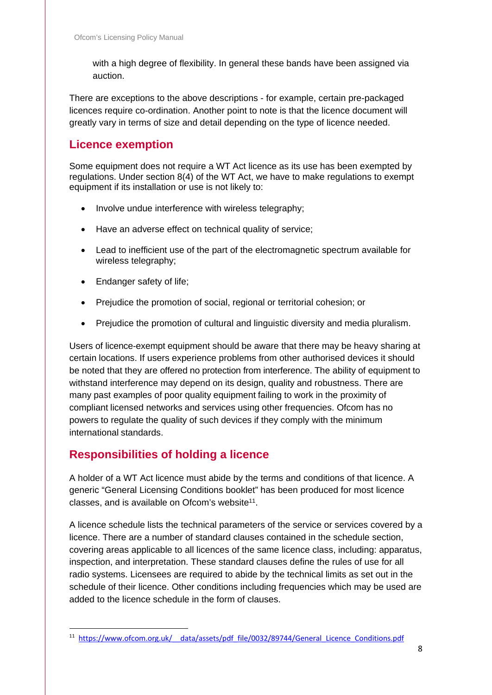with a high degree of flexibility. In general these bands have been assigned via auction.

There are exceptions to the above descriptions - for example, certain pre-packaged licences require co-ordination. Another point to note is that the licence document will greatly vary in terms of size and detail depending on the type of licence needed.

#### **Licence exemption**

Some equipment does not require a WT Act licence as its use has been exempted by regulations. Under section 8(4) of the WT Act, we have to make regulations to exempt equipment if its installation or use is not likely to:

- Involve undue interference with wireless telegraphy;
- Have an adverse effect on technical quality of service;
- Lead to inefficient use of the part of the electromagnetic spectrum available for wireless telegraphy;
- Endanger safety of life;
- Prejudice the promotion of social, regional or territorial cohesion; or
- Prejudice the promotion of cultural and linguistic diversity and media pluralism.

Users of licence-exempt equipment should be aware that there may be heavy sharing at certain locations. If users experience problems from other authorised devices it should be noted that they are offered no protection from interference. The ability of equipment to withstand interference may depend on its design, quality and robustness. There are many past examples of poor quality equipment failing to work in the proximity of compliant licensed networks and services using other frequencies. Ofcom has no powers to regulate the quality of such devices if they comply with the minimum international standards.

#### **Responsibilities of holding a licence**

A holder of a WT Act licence must abide by the terms and conditions of that licence. A generic "General Licensing Conditions booklet" has been produced for most licence classes, and is available on Ofcom's website11.

A licence schedule lists the technical parameters of the service or services covered by a licence. There are a number of standard clauses contained in the schedule section, covering areas applicable to all licences of the same licence class, including: apparatus, inspection, and interpretation. These standard clauses define the rules of use for all radio systems. Licensees are required to abide by the technical limits as set out in the schedule of their licence. Other conditions including frequencies which may be used are added to the licence schedule in the form of clauses.

<sup>11</sup> https://www.ofcom.org.uk/ data/assets/pdf file/0032/89744/General Licence Conditions.pdf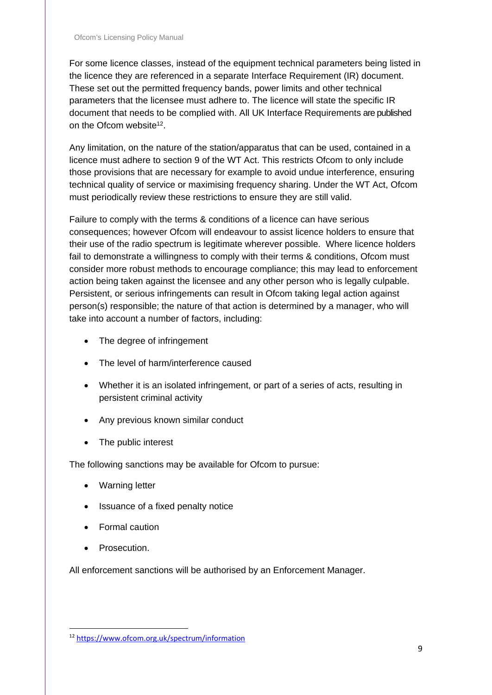For some licence classes, instead of the equipment technical parameters being listed in the licence they are referenced in a separate Interface Requirement (IR) document. These set out the permitted frequency bands, power limits and other technical parameters that the licensee must adhere to. The licence will state the specific IR document that needs to be complied with. All UK Interface Requirements are published on the Ofcom website<sup>12</sup>.

Any limitation, on the nature of the station/apparatus that can be used, contained in a licence must adhere to section 9 of the WT Act. This restricts Ofcom to only include those provisions that are necessary for example to avoid undue interference, ensuring technical quality of service or maximising frequency sharing. Under the WT Act, Ofcom must periodically review these restrictions to ensure they are still valid.

Failure to comply with the terms & conditions of a licence can have serious consequences; however Ofcom will endeavour to assist licence holders to ensure that their use of the radio spectrum is legitimate wherever possible. Where licence holders fail to demonstrate a willingness to comply with their terms & conditions, Ofcom must consider more robust methods to encourage compliance; this may lead to enforcement action being taken against the licensee and any other person who is legally culpable. Persistent, or serious infringements can result in Ofcom taking legal action against person(s) responsible; the nature of that action is determined by a manager, who will take into account a number of factors, including:

- The degree of infringement
- The level of harm/interference caused
- Whether it is an isolated infringement, or part of a series of acts, resulting in persistent criminal activity
- Any previous known similar conduct
- The public interest

The following sanctions may be available for Ofcom to pursue:

- Warning letter
- Issuance of a fixed penalty notice
- Formal caution
- **Prosecution**

All enforcement sanctions will be authorised by an Enforcement Manager.

 <sup>12</sup> <https://www.ofcom.org.uk/spectrum/information>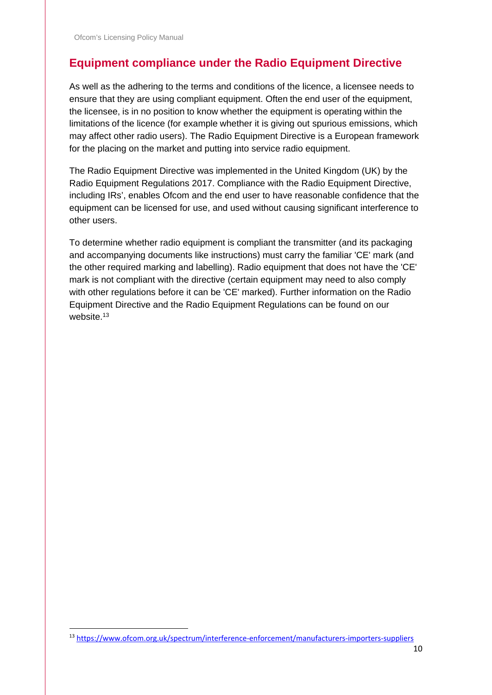# **Equipment compliance under the Radio Equipment Directive**

As well as the adhering to the terms and conditions of the licence, a licensee needs to ensure that they are using compliant equipment. Often the end user of the equipment, the licensee, is in no position to know whether the equipment is operating within the limitations of the licence (for example whether it is giving out spurious emissions, which may affect other radio users). The Radio Equipment Directive is a European framework for the placing on the market and putting into service radio equipment.

The Radio Equipment Directive was implemented in the United Kingdom (UK) by the Radio Equipment Regulations 2017. Compliance with the Radio Equipment Directive, including IRs', enables Ofcom and the end user to have reasonable confidence that the equipment can be licensed for use, and used without causing significant interference to other users.

To determine whether radio equipment is compliant the transmitter (and its packaging and accompanying documents like instructions) must carry the familiar 'CE' mark (and the other required marking and labelling). Radio equipment that does not have the 'CE' mark is not compliant with the directive (certain equipment may need to also comply with other regulations before it can be 'CE' marked). Further information on the Radio Equipment Directive and the Radio Equipment Regulations can be found on our website.<sup>13</sup>

 <sup>13</sup> <https://www.ofcom.org.uk/spectrum/interference-enforcement/manufacturers-importers-suppliers>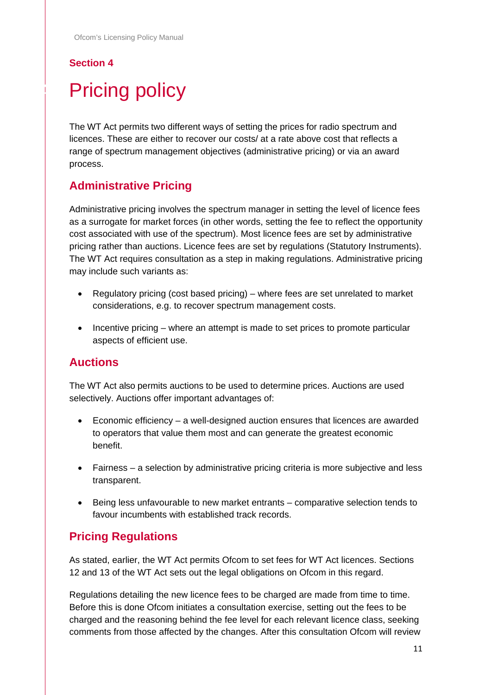# <span id="page-10-0"></span>**Pricing policy**

The WT Act permits two different ways of setting the prices for radio spectrum and licences. These are either to recover our costs/ at a rate above cost that reflects a range of spectrum management objectives (administrative pricing) or via an award process.

### **Administrative Pricing**

Administrative pricing involves the spectrum manager in setting the level of licence fees as a surrogate for market forces (in other words, setting the fee to reflect the opportunity cost associated with use of the spectrum). Most licence fees are set by administrative pricing rather than auctions. Licence fees are set by regulations (Statutory Instruments). The WT Act requires consultation as a step in making regulations. Administrative pricing may include such variants as:

- Regulatory pricing (cost based pricing) where fees are set unrelated to market considerations, e.g. to recover spectrum management costs.
- Incentive pricing where an attempt is made to set prices to promote particular aspects of efficient use.

#### **Auctions**

The WT Act also permits auctions to be used to determine prices. Auctions are used selectively. Auctions offer important advantages of:

- Economic efficiency a well-designed auction ensures that licences are awarded to operators that value them most and can generate the greatest economic benefit.
- Fairness a selection by administrative pricing criteria is more subjective and less transparent.
- Being less unfavourable to new market entrants comparative selection tends to favour incumbents with established track records.

### **Pricing Regulations**

As stated, earlier, the WT Act permits Ofcom to set fees for WT Act licences. Sections 12 and 13 of the WT Act sets out the legal obligations on Ofcom in this regard.

Regulations detailing the new licence fees to be charged are made from time to time. Before this is done Ofcom initiates a consultation exercise, setting out the fees to be charged and the reasoning behind the fee level for each relevant licence class, seeking comments from those affected by the changes. After this consultation Ofcom will review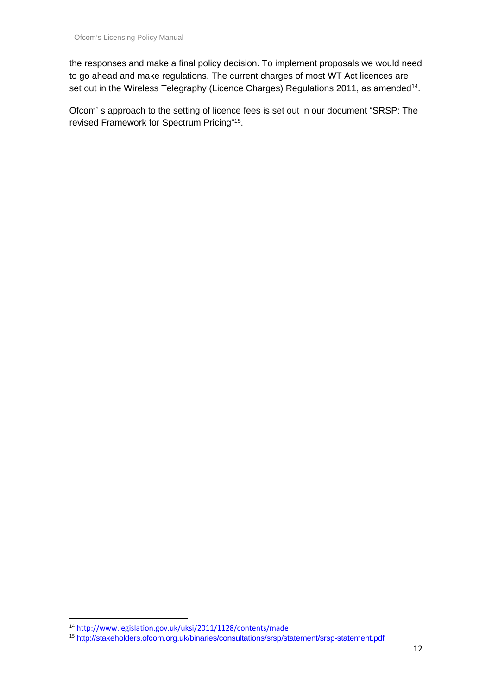the responses and make a final policy decision. To implement proposals we would need to go ahead and make regulations. The current charges of most WT Act licences are set out in the Wireless Telegraphy (Licence Charges) Regulations 2011, as amended<sup>14</sup>.

Ofcom' s approach to the setting of licence fees is set out in our document "SRSP: The revised Framework for Spectrum Pricing"15.

 <sup>14</sup> <http://www.legislation.gov.uk/uksi/2011/1128/contents/made>

<sup>15</sup> <http://stakeholders.ofcom.org.uk/binaries/consultations/srsp/statement/srsp-statement.pdf>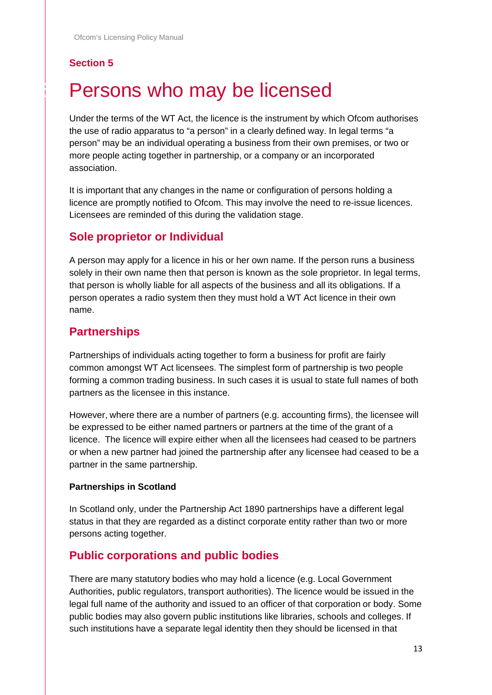# <span id="page-12-0"></span>Persons who may be licensed

Under the terms of the WT Act, the licence is the instrument by which Ofcom authorises the use of radio apparatus to "a person" in a clearly defined way. In legal terms "a person" may be an individual operating a business from their own premises, or two or more people acting together in partnership, or a company or an incorporated association.

It is important that any changes in the name or configuration of persons holding a licence are promptly notified to Ofcom. This may involve the need to re-issue licences. Licensees are reminded of this during the validation stage.

#### **Sole proprietor or Individual**

A person may apply for a licence in his or her own name. If the person runs a business solely in their own name then that person is known as the sole proprietor. In legal terms, that person is wholly liable for all aspects of the business and all its obligations. If a person operates a radio system then they must hold a WT Act licence in their own name.

#### **Partnerships**

Partnerships of individuals acting together to form a business for profit are fairly common amongst WT Act licensees. The simplest form of partnership is two people forming a common trading business. In such cases it is usual to state full names of both partners as the licensee in this instance.

However, where there are a number of partners (e.g. accounting firms), the licensee will be expressed to be either named partners or partners at the time of the grant of a licence. The licence will expire either when all the licensees had ceased to be partners or when a new partner had joined the partnership after any licensee had ceased to be a partner in the same partnership.

#### **Partnerships in Scotland**

In Scotland only, under the Partnership Act 1890 partnerships have a different legal status in that they are regarded as a distinct corporate entity rather than two or more persons acting together.

#### **Public corporations and public bodies**

There are many statutory bodies who may hold a licence (e.g. Local Government Authorities, public regulators, transport authorities). The licence would be issued in the legal full name of the authority and issued to an officer of that corporation or body. Some public bodies may also govern public institutions like libraries, schools and colleges. If such institutions have a separate legal identity then they should be licensed in that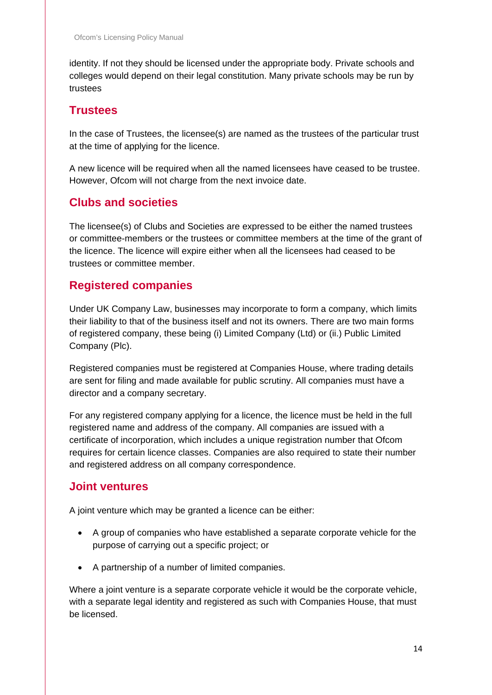identity. If not they should be licensed under the appropriate body. Private schools and colleges would depend on their legal constitution. Many private schools may be run by trustees

#### **Trustees**

In the case of Trustees, the licensee(s) are named as the trustees of the particular trust at the time of applying for the licence.

A new licence will be required when all the named licensees have ceased to be trustee. However, Ofcom will not charge from the next invoice date.

### **Clubs and societies**

The licensee(s) of Clubs and Societies are expressed to be either the named trustees or committee-members or the trustees or committee members at the time of the grant of the licence. The licence will expire either when all the licensees had ceased to be trustees or committee member.

### **Registered companies**

Under UK Company Law, businesses may incorporate to form a company, which limits their liability to that of the business itself and not its owners. There are two main forms of registered company, these being (i) Limited Company (Ltd) or (ii.) Public Limited Company (Plc).

Registered companies must be registered at Companies House, where trading details are sent for filing and made available for public scrutiny. All companies must have a director and a company secretary.

For any registered company applying for a licence, the licence must be held in the full registered name and address of the company. All companies are issued with a certificate of incorporation, which includes a unique registration number that Ofcom requires for certain licence classes. Companies are also required to state their number and registered address on all company correspondence.

#### **Joint ventures**

A joint venture which may be granted a licence can be either:

- A group of companies who have established a separate corporate vehicle for the purpose of carrying out a specific project; or
- A partnership of a number of limited companies.

Where a joint venture is a separate corporate vehicle it would be the corporate vehicle, with a separate legal identity and registered as such with Companies House, that must be licensed.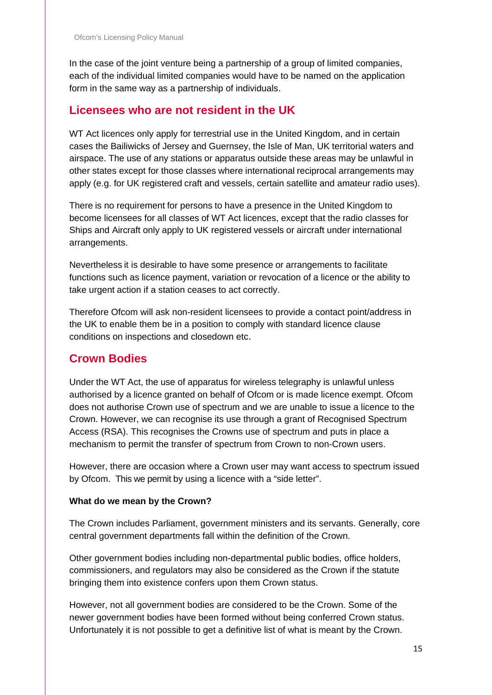In the case of the joint venture being a partnership of a group of limited companies, each of the individual limited companies would have to be named on the application form in the same way as a partnership of individuals.

#### **Licensees who are not resident in the UK**

WT Act licences only apply for terrestrial use in the United Kingdom, and in certain cases the Bailiwicks of Jersey and Guernsey, the Isle of Man, UK territorial waters and airspace. The use of any stations or apparatus outside these areas may be unlawful in other states except for those classes where international reciprocal arrangements may apply (e.g. for UK registered craft and vessels, certain satellite and amateur radio uses).

There is no requirement for persons to have a presence in the United Kingdom to become licensees for all classes of WT Act licences, except that the radio classes for Ships and Aircraft only apply to UK registered vessels or aircraft under international arrangements.

Nevertheless it is desirable to have some presence or arrangements to facilitate functions such as licence payment, variation or revocation of a licence or the ability to take urgent action if a station ceases to act correctly.

Therefore Ofcom will ask non-resident licensees to provide a contact point/address in the UK to enable them be in a position to comply with standard licence clause conditions on inspections and closedown etc.

### **Crown Bodies**

Under the WT Act, the use of apparatus for wireless telegraphy is unlawful unless authorised by a licence granted on behalf of Ofcom or is made licence exempt. Ofcom does not authorise Crown use of spectrum and we are unable to issue a licence to the Crown. However, we can recognise its use through a grant of Recognised Spectrum Access (RSA). This recognises the Crowns use of spectrum and puts in place a mechanism to permit the transfer of spectrum from Crown to non-Crown users.

However, there are occasion where a Crown user may want access to spectrum issued by Ofcom. This we permit by using a licence with a "side letter".

#### **What do we mean by the Crown?**

The Crown includes Parliament, government ministers and its servants. Generally, core central government departments fall within the definition of the Crown.

Other government bodies including non-departmental public bodies, office holders, commissioners, and regulators may also be considered as the Crown if the statute bringing them into existence confers upon them Crown status.

However, not all government bodies are considered to be the Crown. Some of the newer government bodies have been formed without being conferred Crown status. Unfortunately it is not possible to get a definitive list of what is meant by the Crown.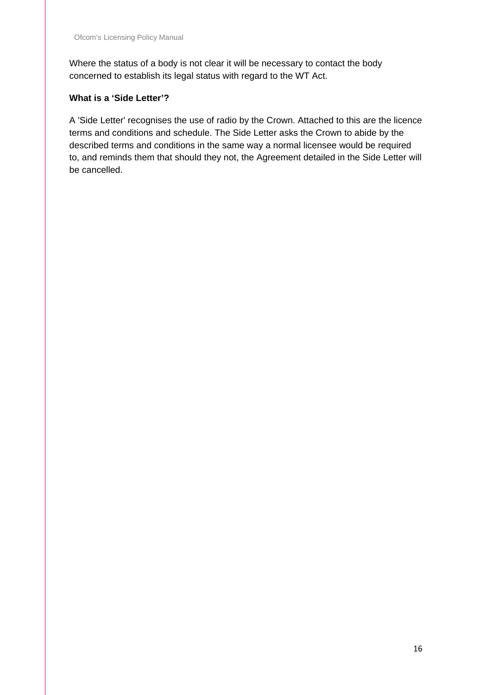Where the status of a body is not clear it will be necessary to contact the body concerned to establish its legal status with regard to the WT Act.

#### **What is a 'Side Letter'?**

A 'Side Letter' recognises the use of radio by the Crown. Attached to this are the licence terms and conditions and schedule. The Side Letter asks the Crown to abide by the described terms and conditions in the same way a normal licensee would be required to, and reminds them that should they not, the Agreement detailed in the Side Letter will be cancelled.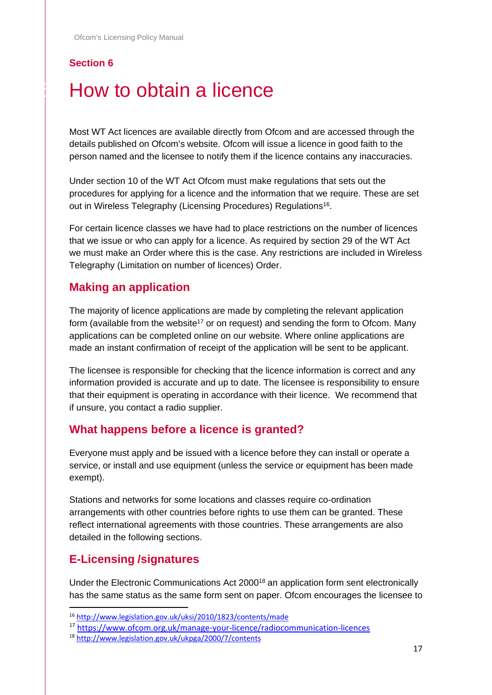# <span id="page-16-0"></span>How to obtain a licence

Most WT Act licences are available directly from Ofcom and are accessed through the details published on Ofcom's website. Ofcom will issue a licence in good faith to the person named and the licensee to notify them if the licence contains any inaccuracies.

Under section 10 of the WT Act Ofcom must make regulations that sets out the procedures for applying for a licence and the information that we require. These are set out in Wireless Telegraphy (Licensing Procedures) Regulations<sup>16</sup>.

For certain licence classes we have had to place restrictions on the number of licences that we issue or who can apply for a licence. As required by section 29 of the WT Act we must make an Order where this is the case. Any restrictions are included in Wireless Telegraphy (Limitation on number of licences) Order.

#### **Making an application**

The majority of licence applications are made by completing the relevant application form (available from the website<sup>17</sup> or on request) and sending the form to Ofcom. Many applications can be completed online on our website. Where online applications are made an instant confirmation of receipt of the application will be sent to be applicant.

The licensee is responsible for checking that the licence information is correct and any information provided is accurate and up to date. The licensee is responsibility to ensure that their equipment is operating in accordance with their licence. We recommend that if unsure, you contact a radio supplier.

#### **What happens before a licence is granted?**

Everyone must apply and be issued with a licence before they can install or operate a service, or install and use equipment (unless the service or equipment has been made exempt).

Stations and networks for some locations and classes require co-ordination arrangements with other countries before rights to use them can be granted. These reflect international agreements with those countries. These arrangements are also detailed in the following sections.

#### **E-Licensing /signatures**

Under the Electronic Communications Act 200018 an application form sent electronically has the same status as the same form sent on paper. Ofcom encourages the licensee to

 <sup>16</sup> <http://www.legislation.gov.uk/uksi/2010/1823/contents/made>

<sup>17</sup> <https://www.ofcom.org.uk/manage-your-licence/radiocommunication-licences>

<sup>18</sup> <http://www.legislation.gov.uk/ukpga/2000/7/contents>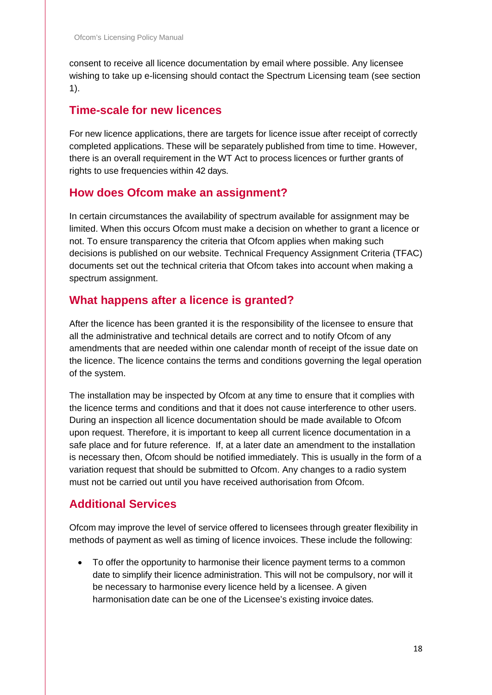consent to receive all licence documentation by email where possible. Any licensee wishing to take up e-licensing should contact the Spectrum Licensing team (see section 1).

### **Time-scale for new licences**

For new licence applications, there are targets for licence issue after receipt of correctly completed applications. These will be separately published from time to time. However, there is an overall requirement in the WT Act to process licences or further grants of rights to use frequencies within 42 days.

#### **How does Ofcom make an assignment?**

In certain circumstances the availability of spectrum available for assignment may be limited. When this occurs Ofcom must make a decision on whether to grant a licence or not. To ensure transparency the criteria that Ofcom applies when making such decisions is published on our website. Technical Frequency Assignment Criteria (TFAC) documents set out the technical criteria that Ofcom takes into account when making a spectrum assignment.

### **What happens after a licence is granted?**

After the licence has been granted it is the responsibility of the licensee to ensure that all the administrative and technical details are correct and to notify Ofcom of any amendments that are needed within one calendar month of receipt of the issue date on the licence. The licence contains the terms and conditions governing the legal operation of the system.

The installation may be inspected by Ofcom at any time to ensure that it complies with the licence terms and conditions and that it does not cause interference to other users. During an inspection all licence documentation should be made available to Ofcom upon request. Therefore, it is important to keep all current licence documentation in a safe place and for future reference. If, at a later date an amendment to the installation is necessary then, Ofcom should be notified immediately. This is usually in the form of a variation request that should be submitted to Ofcom. Any changes to a radio system must not be carried out until you have received authorisation from Ofcom.

### **Additional Services**

Ofcom may improve the level of service offered to licensees through greater flexibility in methods of payment as well as timing of licence invoices. These include the following:

• To offer the opportunity to harmonise their licence payment terms to a common date to simplify their licence administration. This will not be compulsory, nor will it be necessary to harmonise every licence held by a licensee. A given harmonisation date can be one of the Licensee's existing invoice dates.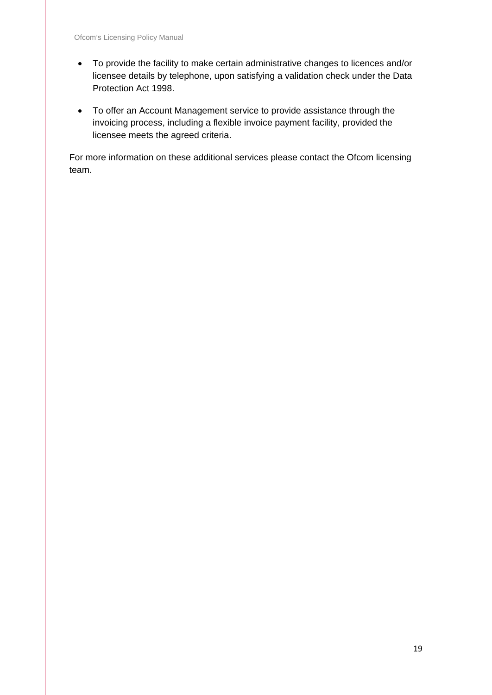- To provide the facility to make certain administrative changes to licences and/or licensee details by telephone, upon satisfying a validation check under the Data Protection Act 1998.
- To offer an Account Management service to provide assistance through the invoicing process, including a flexible invoice payment facility, provided the licensee meets the agreed criteria.

For more information on these additional services please contact the Ofcom licensing team.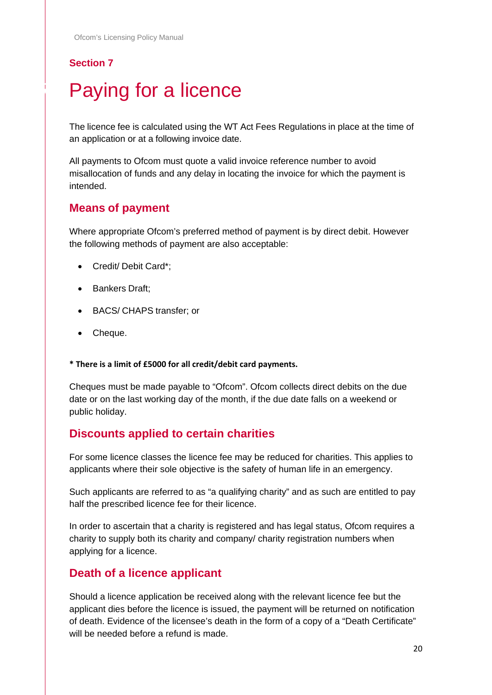# <span id="page-19-0"></span>Paying for a licence

The licence fee is calculated using the WT Act Fees Regulations in place at the time of an application or at a following invoice date.

All payments to Ofcom must quote a valid invoice reference number to avoid misallocation of funds and any delay in locating the invoice for which the payment is intended.

#### **Means of payment**

Where appropriate Ofcom's preferred method of payment is by direct debit. However the following methods of payment are also acceptable:

- Credit/ Debit Card\*;
- Bankers Draft;
- BACS/ CHAPS transfer; or
- Cheque.

**\* There is a limit of £5000 for all credit/debit card payments.**

Cheques must be made payable to "Ofcom". Ofcom collects direct debits on the due date or on the last working day of the month, if the due date falls on a weekend or public holiday.

#### **Discounts applied to certain charities**

For some licence classes the licence fee may be reduced for charities. This applies to applicants where their sole objective is the safety of human life in an emergency.

Such applicants are referred to as "a qualifying charity" and as such are entitled to pay half the prescribed licence fee for their licence.

In order to ascertain that a charity is registered and has legal status, Ofcom requires a charity to supply both its charity and company/ charity registration numbers when applying for a licence.

#### **Death of a licence applicant**

Should a licence application be received along with the relevant licence fee but the applicant dies before the licence is issued, the payment will be returned on notification of death. Evidence of the licensee's death in the form of a copy of a "Death Certificate" will be needed before a refund is made.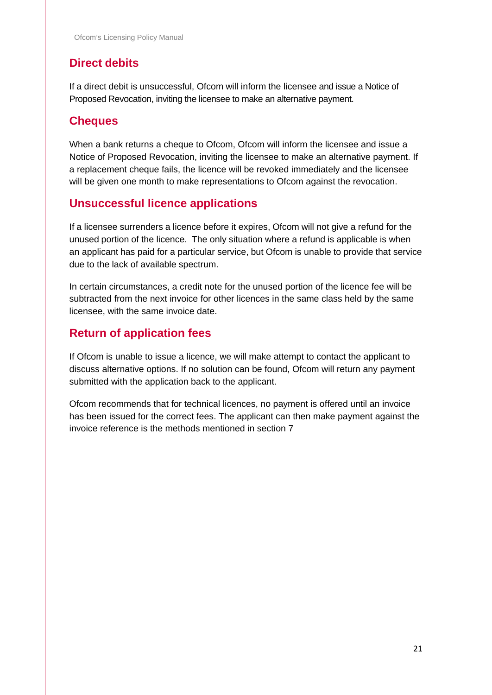# **Direct debits**

If a direct debit is unsuccessful, Ofcom will inform the licensee and issue a Notice of Proposed Revocation, inviting the licensee to make an alternative payment.

#### **Cheques**

When a bank returns a cheque to Ofcom, Ofcom will inform the licensee and issue a Notice of Proposed Revocation, inviting the licensee to make an alternative payment. If a replacement cheque fails, the licence will be revoked immediately and the licensee will be given one month to make representations to Ofcom against the revocation.

#### **Unsuccessful licence applications**

If a licensee surrenders a licence before it expires, Ofcom will not give a refund for the unused portion of the licence. The only situation where a refund is applicable is when an applicant has paid for a particular service, but Ofcom is unable to provide that service due to the lack of available spectrum.

In certain circumstances, a credit note for the unused portion of the licence fee will be subtracted from the next invoice for other licences in the same class held by the same licensee, with the same invoice date.

# **Return of application fees**

If Ofcom is unable to issue a licence, we will make attempt to contact the applicant to discuss alternative options. If no solution can be found, Ofcom will return any payment submitted with the application back to the applicant.

Ofcom recommends that for technical licences, no payment is offered until an invoice has been issued for the correct fees. The applicant can then make payment against the invoice reference is the methods mentioned in section 7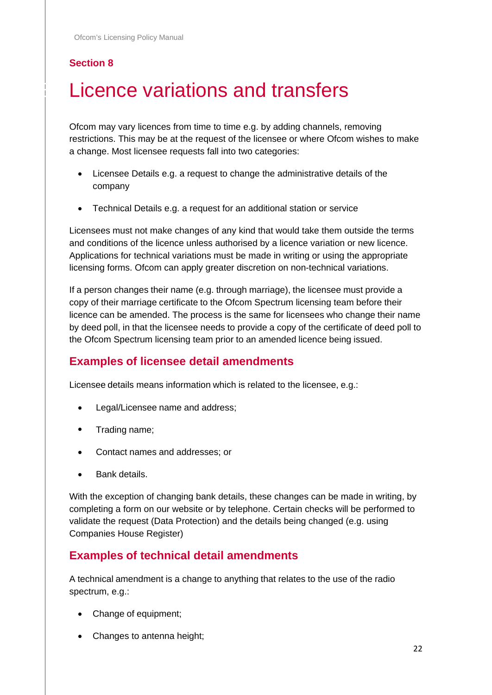# <span id="page-21-0"></span>Licence variations and transfers

Ofcom may vary licences from time to time e.g. by adding channels, removing restrictions. This may be at the request of the licensee or where Ofcom wishes to make a change. Most licensee requests fall into two categories:

- Licensee Details e.g. a request to change the administrative details of the company
- Technical Details e.g. a request for an additional station or service

Licensees must not make changes of any kind that would take them outside the terms and conditions of the licence unless authorised by a licence variation or new licence. Applications for technical variations must be made in writing or using the appropriate licensing forms. Ofcom can apply greater discretion on non-technical variations.

If a person changes their name (e.g. through marriage), the licensee must provide a copy of their marriage certificate to the Ofcom Spectrum licensing team before their licence can be amended. The process is the same for licensees who change their name by deed poll, in that the licensee needs to provide a copy of the certificate of deed poll to the Ofcom Spectrum licensing team prior to an amended licence being issued.

#### **Examples of licensee detail amendments**

Licensee details means information which is related to the licensee, e.g.:

- Legal/Licensee name and address;
- Trading name;
- Contact names and addresses; or
- Bank details.

With the exception of changing bank details, these changes can be made in writing, by completing a form on our website or by telephone. Certain checks will be performed to validate the request (Data Protection) and the details being changed (e.g. using Companies House Register)

#### **Examples of technical detail amendments**

A technical amendment is a change to anything that relates to the use of the radio spectrum, e.g.:

- Change of equipment;
- Changes to antenna height;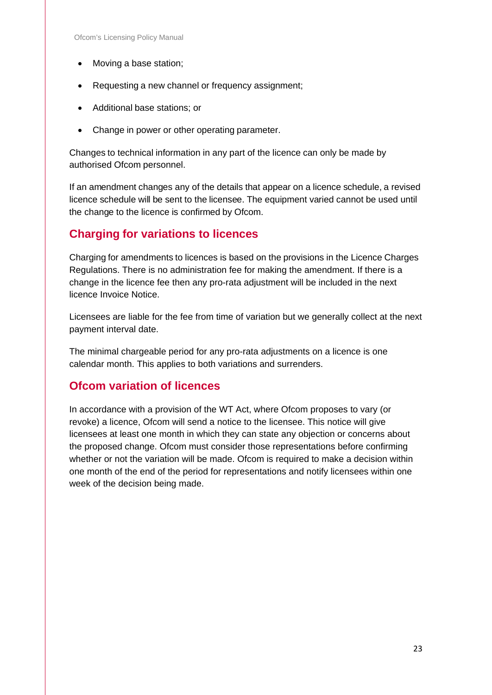- Moving a base station;
- Requesting a new channel or frequency assignment;
- Additional base stations; or
- Change in power or other operating parameter.

Changes to technical information in any part of the licence can only be made by authorised Ofcom personnel.

If an amendment changes any of the details that appear on a licence schedule, a revised licence schedule will be sent to the licensee. The equipment varied cannot be used until the change to the licence is confirmed by Ofcom.

#### **Charging for variations to licences**

Charging for amendments to licences is based on the provisions in the Licence Charges Regulations. There is no administration fee for making the amendment. If there is a change in the licence fee then any pro-rata adjustment will be included in the next licence Invoice Notice.

Licensees are liable for the fee from time of variation but we generally collect at the next payment interval date.

The minimal chargeable period for any pro-rata adjustments on a licence is one calendar month. This applies to both variations and surrenders.

#### **Ofcom variation of licences**

In accordance with a provision of the WT Act, where Ofcom proposes to vary (or revoke) a licence, Ofcom will send a notice to the licensee. This notice will give licensees at least one month in which they can state any objection or concerns about the proposed change. Ofcom must consider those representations before confirming whether or not the variation will be made. Ofcom is required to make a decision within one month of the end of the period for representations and notify licensees within one week of the decision being made.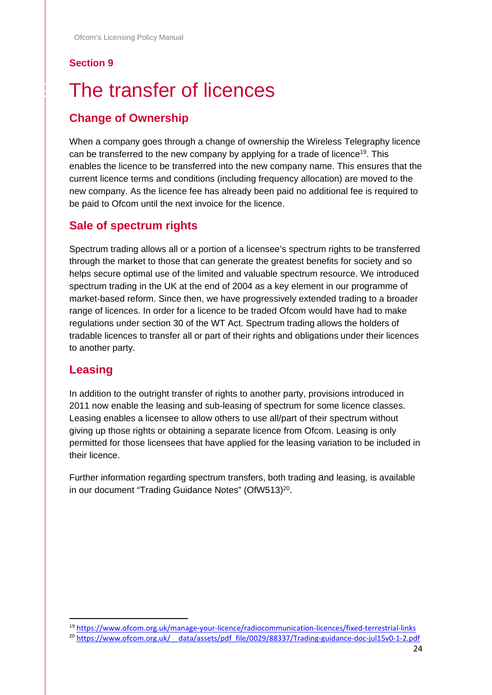# <span id="page-23-0"></span>The transfer of licences

# **Change of Ownership**

When a company goes through a change of ownership the Wireless Telegraphy licence can be transferred to the new company by applying for a trade of licence<sup>19</sup>. This enables the licence to be transferred into the new company name. This ensures that the current licence terms and conditions (including frequency allocation) are moved to the new company. As the licence fee has already been paid no additional fee is required to be paid to Ofcom until the next invoice for the licence.

### **Sale of spectrum rights**

Spectrum trading allows all or a portion of a licensee's spectrum rights to be transferred through the market to those that can generate the greatest benefits for society and so helps secure optimal use of the limited and valuable spectrum resource. We introduced spectrum trading in the UK at the end of 2004 as a key element in our programme of market-based reform. Since then, we have progressively extended trading to a broader range of licences. In order for a licence to be traded Ofcom would have had to make regulations under section 30 of the WT Act. Spectrum trading allows the holders of tradable licences to transfer all or part of their rights and obligations under their licences to another party.

#### **Leasing**

In addition to the outright transfer of rights to another party, provisions introduced in 2011 now enable the leasing and sub-leasing of spectrum for some licence classes. Leasing enables a licensee to allow others to use all/part of their spectrum without giving up those rights or obtaining a separate licence from Ofcom. Leasing is only permitted for those licensees that have applied for the leasing variation to be included in their licence.

Further information regarding spectrum transfers, both trading and leasing, is available in our document "Trading Guidance Notes" (OfW513)<sup>20</sup>.

 <sup>19</sup> <https://www.ofcom.org.uk/manage-your-licence/radiocommunication-licences/fixed-terrestrial-links>

<sup>&</sup>lt;sup>20</sup> https://www.ofcom.org.uk/ data/assets/pdf file/0029/88337/Trading-guidance-doc-jul15v0-1-2.pdf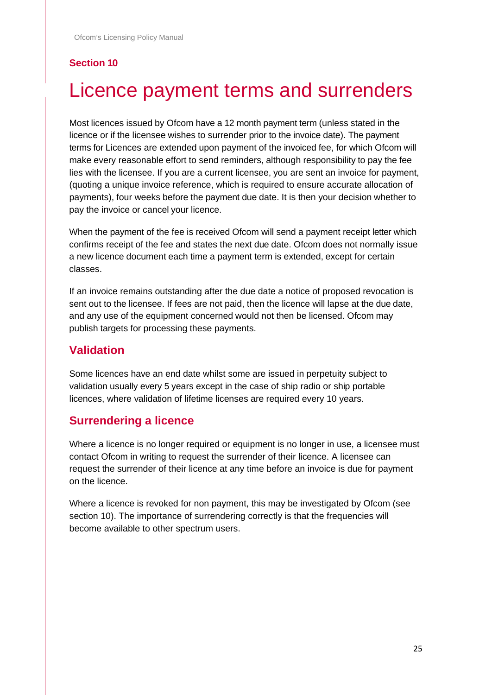# <span id="page-24-0"></span>Licence payment terms and surrenders

Most licences issued by Ofcom have a 12 month payment term (unless stated in the licence or if the licensee wishes to surrender prior to the invoice date). The payment terms for Licences are extended upon payment of the invoiced fee, for which Ofcom will make every reasonable effort to send reminders, although responsibility to pay the fee lies with the licensee. If you are a current licensee, you are sent an invoice for payment, (quoting a unique invoice reference, which is required to ensure accurate allocation of payments), four weeks before the payment due date. It is then your decision whether to pay the invoice or cancel your licence.

When the payment of the fee is received Ofcom will send a payment receipt letter which confirms receipt of the fee and states the next due date. Ofcom does not normally issue a new licence document each time a payment term is extended, except for certain classes.

If an invoice remains outstanding after the due date a notice of proposed revocation is sent out to the licensee. If fees are not paid, then the licence will lapse at the due date, and any use of the equipment concerned would not then be licensed. Ofcom may publish targets for processing these payments.

#### **Validation**

Some licences have an end date whilst some are issued in perpetuity subject to validation usually every 5 years except in the case of ship radio or ship portable licences, where validation of lifetime licenses are required every 10 years.

#### **Surrendering a licence**

Where a licence is no longer required or equipment is no longer in use, a licensee must contact Ofcom in writing to request the surrender of their licence. A licensee can request the surrender of their licence at any time before an invoice is due for payment on the licence.

Where a licence is revoked for non payment, this may be investigated by Ofcom (see section 10). The importance of surrendering correctly is that the frequencies will become available to other spectrum users.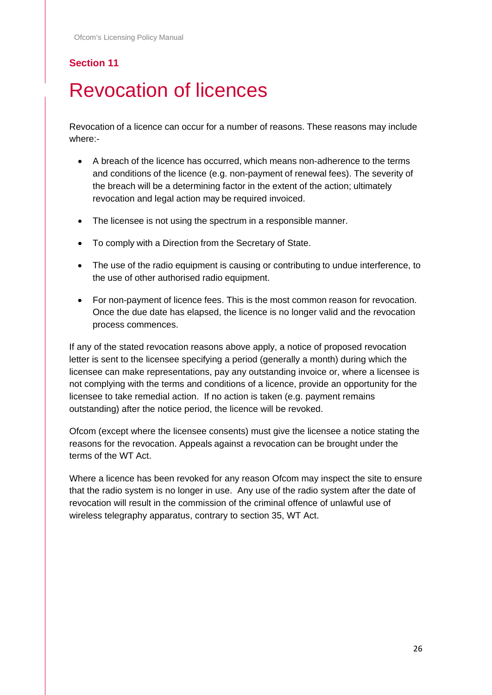# <span id="page-25-0"></span>**Revocation of licences**

Revocation of a licence can occur for a number of reasons. These reasons may include where:-

- A breach of the licence has occurred, which means non-adherence to the terms and conditions of the licence (e.g. non-payment of renewal fees). The severity of the breach will be a determining factor in the extent of the action; ultimately revocation and legal action may be required invoiced.
- The licensee is not using the spectrum in a responsible manner.
- To comply with a Direction from the Secretary of State.
- The use of the radio equipment is causing or contributing to undue interference, to the use of other authorised radio equipment.
- For non-payment of licence fees. This is the most common reason for revocation. Once the due date has elapsed, the licence is no longer valid and the revocation process commences.

If any of the stated revocation reasons above apply, a notice of proposed revocation letter is sent to the licensee specifying a period (generally a month) during which the licensee can make representations, pay any outstanding invoice or, where a licensee is not complying with the terms and conditions of a licence, provide an opportunity for the licensee to take remedial action. If no action is taken (e.g. payment remains outstanding) after the notice period, the licence will be revoked.

Ofcom (except where the licensee consents) must give the licensee a notice stating the reasons for the revocation. Appeals against a revocation can be brought under the terms of the WT Act.

Where a licence has been revoked for any reason Ofcom may inspect the site to ensure that the radio system is no longer in use. Any use of the radio system after the date of revocation will result in the commission of the criminal offence of unlawful use of wireless telegraphy apparatus, contrary to section 35, WT Act.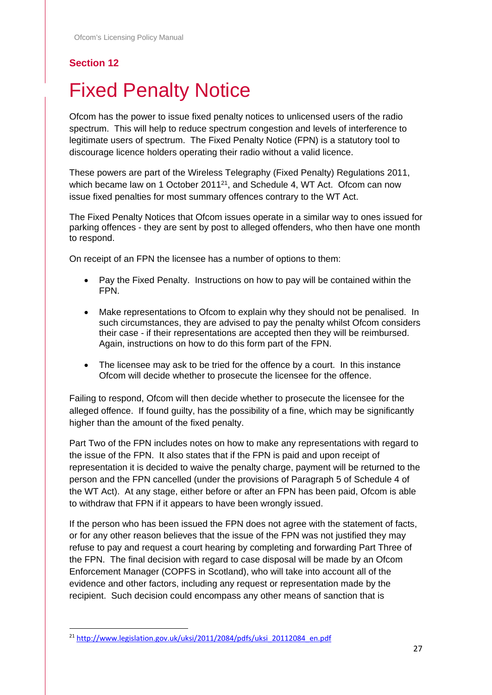# <span id="page-26-0"></span>**Fixed Penalty Notice**

Ofcom has the power to issue fixed penalty notices to unlicensed users of the radio spectrum. This will help to reduce spectrum congestion and levels of interference to legitimate users of spectrum. The Fixed Penalty Notice (FPN) is a statutory tool to discourage licence holders operating their radio without a valid licence.

These powers are part of the Wireless Telegraphy (Fixed Penalty) Regulations 2011, which became law on 1 October 2011<sup>21</sup>, and Schedule 4, WT Act. Ofcom can now issue fixed penalties for most summary offences contrary to the WT Act.

The Fixed Penalty Notices that Ofcom issues operate in a similar way to ones issued for parking offences - they are sent by post to alleged offenders, who then have one month to respond.

On receipt of an FPN the licensee has a number of options to them:

- Pay the Fixed Penalty. Instructions on how to pay will be contained within the FPN.
- Make representations to Ofcom to explain why they should not be penalised. In such circumstances, they are advised to pay the penalty whilst Ofcom considers their case - if their representations are accepted then they will be reimbursed. Again, instructions on how to do this form part of the FPN.
- The licensee may ask to be tried for the offence by a court. In this instance Ofcom will decide whether to prosecute the licensee for the offence.

Failing to respond, Ofcom will then decide whether to prosecute the licensee for the alleged offence. If found guilty, has the possibility of a fine, which may be significantly higher than the amount of the fixed penalty.

Part Two of the FPN includes notes on how to make any representations with regard to the issue of the FPN. It also states that if the FPN is paid and upon receipt of representation it is decided to waive the penalty charge, payment will be returned to the person and the FPN cancelled (under the provisions of Paragraph 5 of Schedule 4 of the WT Act). At any stage, either before or after an FPN has been paid, Ofcom is able to withdraw that FPN if it appears to have been wrongly issued.

If the person who has been issued the FPN does not agree with the statement of facts, or for any other reason believes that the issue of the FPN was not justified they may refuse to pay and request a court hearing by completing and forwarding Part Three of the FPN. The final decision with regard to case disposal will be made by an Ofcom Enforcement Manager (COPFS in Scotland), who will take into account all of the evidence and other factors, including any request or representation made by the recipient. Such decision could encompass any other means of sanction that is

<sup>&</sup>lt;sup>21</sup> [http://www.legislation.gov.uk/uksi/2011/2084/pdfs/uksi\\_20112084\\_en.pdf](http://www.legislation.gov.uk/uksi/2011/2084/pdfs/uksi_20112084_en.pdf)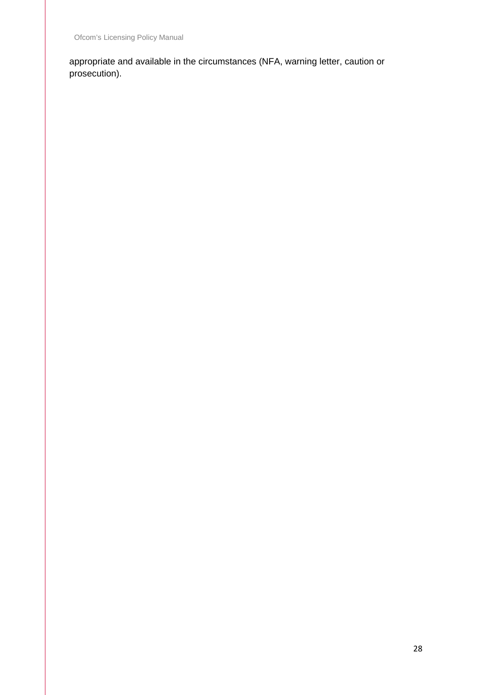appropriate and available in the circumstances (NFA, warning letter, caution or prosecution).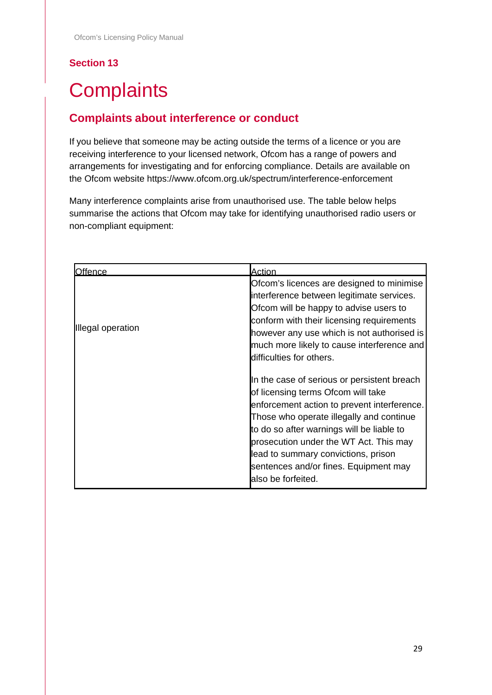# <span id="page-28-0"></span>**Complaints**

### **Complaints about interference or conduct**

If you believe that someone may be acting outside the terms of a licence or you are receiving interference to your licensed network, Ofcom has a range of powers and arrangements for investigating and for enforcing compliance. Details are available on the Ofcom website https://www.ofcom.org.uk/spectrum/interference-enforcement

Many interference complaints arise from unauthorised use. The table below helps summarise the actions that Ofcom may take for identifying unauthorised radio users or non-compliant equipment:

| <b>Offence</b>    | Action                                                                                                                                                                                                                                                                                                                                                                    |
|-------------------|---------------------------------------------------------------------------------------------------------------------------------------------------------------------------------------------------------------------------------------------------------------------------------------------------------------------------------------------------------------------------|
| Illegal operation | Ofcom's licences are designed to minimise<br>interference between legitimate services.<br>Ofcom will be happy to advise users to<br>conform with their licensing requirements<br>however any use which is not authorised is<br>much more likely to cause interference and<br>difficulties for others.                                                                     |
|                   | In the case of serious or persistent breach<br>of licensing terms Ofcom will take<br>enforcement action to prevent interference.<br>Those who operate illegally and continue<br>to do so after warnings will be liable to<br>prosecution under the WT Act. This may<br>lead to summary convictions, prison<br>sentences and/or fines. Equipment may<br>also be forfeited. |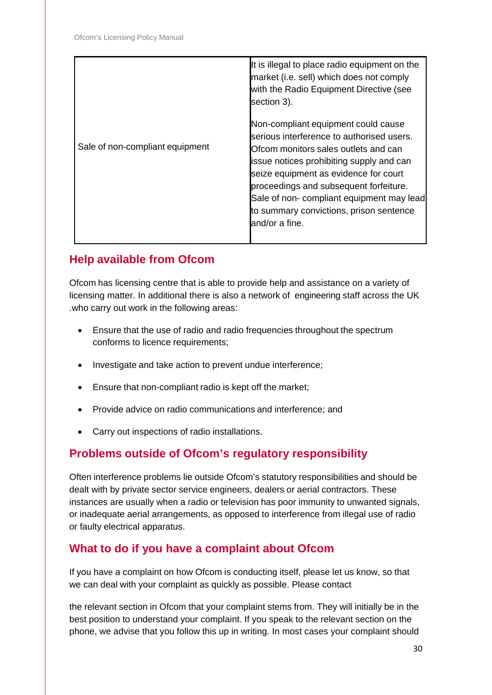|                                 | It is illegal to place radio equipment on the<br>market (i.e. sell) which does not comply<br>with the Radio Equipment Directive (see<br>section 3).                                                                                                                                                                                                               |
|---------------------------------|-------------------------------------------------------------------------------------------------------------------------------------------------------------------------------------------------------------------------------------------------------------------------------------------------------------------------------------------------------------------|
| Sale of non-compliant equipment | Non-compliant equipment could cause<br>serious interference to authorised users.<br>Ofcom monitors sales outlets and can<br>issue notices prohibiting supply and can<br>seize equipment as evidence for court<br>proceedings and subsequent forfeiture.<br>Sale of non- compliant equipment may lead<br>to summary convictions, prison sentence<br>and/or a fine. |

### **Help available from Ofcom**

Ofcom has licensing centre that is able to provide help and assistance on a variety of licensing matter. In additional there is also a network of engineering staff across the UK .who carry out work in the following areas:

- Ensure that the use of radio and radio frequencies throughout the spectrum conforms to licence requirements;
- Investigate and take action to prevent undue interference;
- Ensure that non-compliant radio is kept off the market;
- Provide advice on radio communications and interference; and
- Carry out inspections of radio installations.

#### **Problems outside of Ofcom's regulatory responsibility**

Often interference problems lie outside Ofcom's statutory responsibilities and should be dealt with by private sector service engineers, dealers or aerial contractors. These instances are usually when a radio or television has poor immunity to unwanted signals, or inadequate aerial arrangements, as opposed to interference from illegal use of radio or faulty electrical apparatus.

#### **What to do if you have a complaint about Ofcom**

If you have a complaint on how Ofcom is conducting itself, please let us know, so that we can deal with your complaint as quickly as possible. Please contact

the relevant section in Ofcom that your complaint stems from. They will initially be in the best position to understand your complaint. If you speak to the relevant section on the phone, we advise that you follow this up in writing. In most cases your complaint should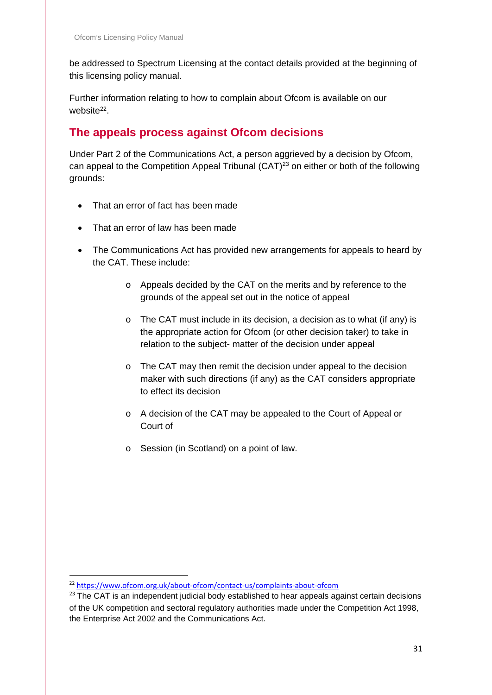be addressed to Spectrum Licensing at the contact details provided at the beginning of this licensing policy manual.

Further information relating to how to complain about Ofcom is available on our website<sup>22</sup>.

#### **The appeals process against Ofcom decisions**

Under Part 2 of the Communications Act, a person aggrieved by a decision by Ofcom, can appeal to the Competition Appeal Tribunal (CAT)23 on either or both of the following grounds:

- That an error of fact has been made
- That an error of law has been made
- The Communications Act has provided new arrangements for appeals to heard by the CAT. These include:
	- o Appeals decided by the CAT on the merits and by reference to the grounds of the appeal set out in the notice of appeal
	- o The CAT must include in its decision, a decision as to what (if any) is the appropriate action for Ofcom (or other decision taker) to take in relation to the subject- matter of the decision under appeal
	- o The CAT may then remit the decision under appeal to the decision maker with such directions (if any) as the CAT considers appropriate to effect its decision
	- o A decision of the CAT may be appealed to the Court of Appeal or Court of
	- o Session (in Scotland) on a point of law.

 <sup>22</sup> <https://www.ofcom.org.uk/about-ofcom/contact-us/complaints-about-ofcom>

<sup>&</sup>lt;sup>23</sup> The CAT is an independent judicial body established to hear appeals against certain decisions of the UK competition and sectoral regulatory authorities made under the Competition Act 1998, the Enterprise Act 2002 and the Communications Act.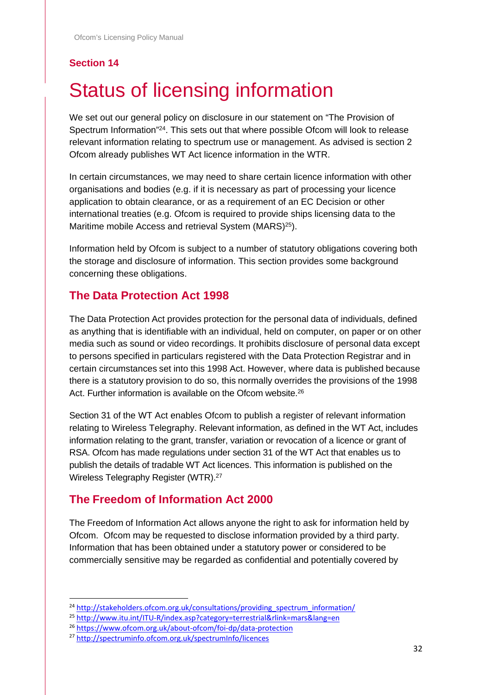# <span id="page-31-0"></span>**Status of licensing information**

We set out our general policy on disclosure in our statement on "The Provision of Spectrum Information"24. This sets out that where possible Ofcom will look to release relevant information relating to spectrum use or management. As advised is section 2 Ofcom already publishes WT Act licence information in the WTR.

In certain circumstances, we may need to share certain licence information with other organisations and bodies (e.g. if it is necessary as part of processing your licence application to obtain clearance, or as a requirement of an EC Decision or other international treaties (e.g. Ofcom is required to provide ships licensing data to the Maritime mobile Access and retrieval System (MARS)<sup>25</sup>).

Information held by Ofcom is subject to a number of statutory obligations covering both the storage and disclosure of information. This section provides some background concerning these obligations.

### **The Data Protection Act 1998**

The Data Protection Act provides protection for the personal data of individuals, defined as anything that is identifiable with an individual, held on computer, on paper or on other media such as sound or video recordings. It prohibits disclosure of personal data except to persons specified in particulars registered with the Data Protection Registrar and in certain circumstances set into this 1998 Act. However, where data is published because there is a statutory provision to do so, this normally overrides the provisions of the 1998 Act. Further information is available on the Ofcom website.<sup>26</sup>

Section 31 of the WT Act enables Ofcom to publish a register of relevant information relating to Wireless Telegraphy. Relevant information, as defined in the WT Act, includes information relating to the grant, transfer, variation or revocation of a licence or grant of RSA. Ofcom has made regulations under section 31 of the WT Act that enables us to publish the details of tradable WT Act licences. This information is published on the Wireless Telegraphy Register (WTR). 27

### **The Freedom of Information Act 2000**

The Freedom of Information Act allows anyone the right to ask for information held by Ofcom. Ofcom may be requested to disclose information provided by a third party. Information that has been obtained under a statutory power or considered to be commercially sensitive may be regarded as confidential and potentially covered by

<sup>&</sup>lt;sup>24</sup> [http://stakeholders.ofcom.org.uk/consultations/providing\\_spectrum\\_information/](http://stakeholders.ofcom.org.uk/consultations/providing_spectrum_information/)

 $^{25}$  <http://www.itu.int/ITU-R/index.asp?category=terrestrial&rlink=mars&lang=en><br> $^{26}$  https://www.ofcom.org.uk/about-ofcom/foi-dp/data-protection

<sup>&</sup>lt;sup>27</sup> <http://spectruminfo.ofcom.org.uk/spectrumInfo/licences>